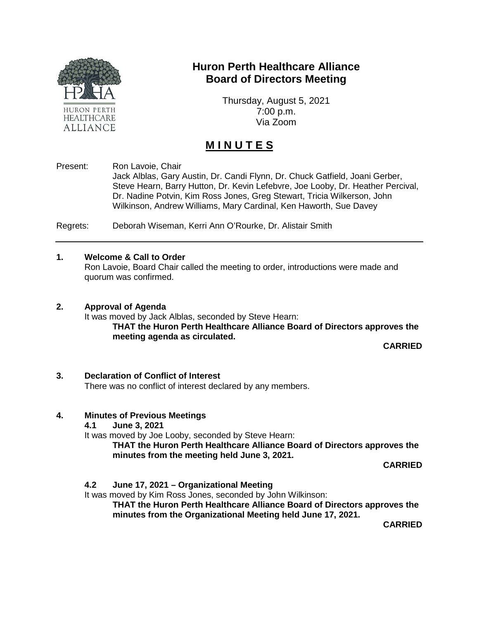

## **Huron Perth Healthcare Alliance Board of Directors Meeting**

Thursday, August 5, 2021 7:00 p.m. Via Zoom

# **M I N U T E S**

Present: Ron Lavoie, Chair

Jack Alblas, Gary Austin, Dr. Candi Flynn, Dr. Chuck Gatfield, Joani Gerber, Steve Hearn, Barry Hutton, Dr. Kevin Lefebvre, Joe Looby, Dr. Heather Percival, Dr. Nadine Potvin, Kim Ross Jones, Greg Stewart, Tricia Wilkerson, John Wilkinson, Andrew Williams, Mary Cardinal, Ken Haworth, Sue Davey

Regrets: Deborah Wiseman, Kerri Ann O'Rourke, Dr. Alistair Smith

#### **1. Welcome & Call to Order**

Ron Lavoie, Board Chair called the meeting to order, introductions were made and quorum was confirmed.

#### **2. Approval of Agenda**

It was moved by Jack Alblas, seconded by Steve Hearn: **THAT the Huron Perth Healthcare Alliance Board of Directors approves the meeting agenda as circulated.**

**CARRIED**

#### **3. Declaration of Conflict of Interest**

There was no conflict of interest declared by any members.

## **4. Minutes of Previous Meetings**

**4.1 June 3, 2021**

It was moved by Joe Looby, seconded by Steve Hearn:

**THAT the Huron Perth Healthcare Alliance Board of Directors approves the minutes from the meeting held June 3, 2021.**

**CARRIED**

## **4.2 June 17, 2021 – Organizational Meeting**

It was moved by Kim Ross Jones, seconded by John Wilkinson:

**THAT the Huron Perth Healthcare Alliance Board of Directors approves the minutes from the Organizational Meeting held June 17, 2021.**

**CARRIED**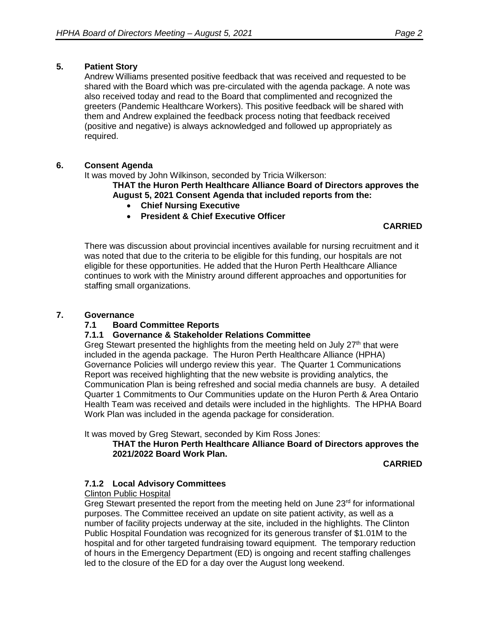## **5. Patient Story**

Andrew Williams presented positive feedback that was received and requested to be shared with the Board which was pre-circulated with the agenda package. A note was also received today and read to the Board that complimented and recognized the greeters (Pandemic Healthcare Workers). This positive feedback will be shared with them and Andrew explained the feedback process noting that feedback received (positive and negative) is always acknowledged and followed up appropriately as required.

## **6. Consent Agenda**

It was moved by John Wilkinson, seconded by Tricia Wilkerson:

**THAT the Huron Perth Healthcare Alliance Board of Directors approves the August 5, 2021 Consent Agenda that included reports from the:**

- **Chief Nursing Executive**
- **President & Chief Executive Officer**

**CARRIED**

There was discussion about provincial incentives available for nursing recruitment and it was noted that due to the criteria to be eligible for this funding, our hospitals are not eligible for these opportunities. He added that the Huron Perth Healthcare Alliance continues to work with the Ministry around different approaches and opportunities for staffing small organizations.

## **7. Governance**

## **7.1 Board Committee Reports**

## **7.1.1 Governance & Stakeholder Relations Committee**

Greg Stewart presented the highlights from the meeting held on July  $27<sup>th</sup>$  that were included in the agenda package. The Huron Perth Healthcare Alliance (HPHA) Governance Policies will undergo review this year. The Quarter 1 Communications Report was received highlighting that the new website is providing analytics, the Communication Plan is being refreshed and social media channels are busy. A detailed Quarter 1 Commitments to Our Communities update on the Huron Perth & Area Ontario Health Team was received and details were included in the highlights. The HPHA Board Work Plan was included in the agenda package for consideration.

It was moved by Greg Stewart, seconded by Kim Ross Jones:

**THAT the Huron Perth Healthcare Alliance Board of Directors approves the 2021/2022 Board Work Plan.**

**CARRIED**

## **7.1.2 Local Advisory Committees**

## Clinton Public Hospital

Greg Stewart presented the report from the meeting held on June 23<sup>rd</sup> for informational purposes. The Committee received an update on site patient activity, as well as a number of facility projects underway at the site, included in the highlights. The Clinton Public Hospital Foundation was recognized for its generous transfer of \$1.01M to the hospital and for other targeted fundraising toward equipment. The temporary reduction of hours in the Emergency Department (ED) is ongoing and recent staffing challenges led to the closure of the ED for a day over the August long weekend.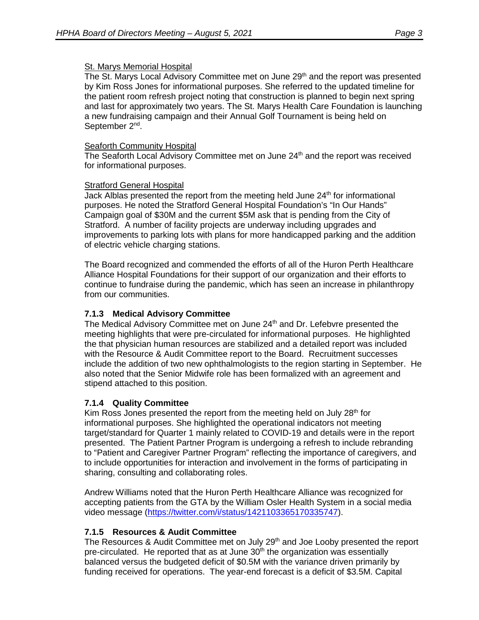## St. Marys Memorial Hospital

The St. Marys Local Advisory Committee met on June 29<sup>th</sup> and the report was presented by Kim Ross Jones for informational purposes. She referred to the updated timeline for the patient room refresh project noting that construction is planned to begin next spring and last for approximately two years. The St. Marys Health Care Foundation is launching a new fundraising campaign and their Annual Golf Tournament is being held on September 2<sup>nd</sup>.

## Seaforth Community Hospital

The Seaforth Local Advisory Committee met on June 24<sup>th</sup> and the report was received for informational purposes.

## Stratford General Hospital

Jack Alblas presented the report from the meeting held June  $24<sup>th</sup>$  for informational purposes. He noted the Stratford General Hospital Foundation's "In Our Hands" Campaign goal of \$30M and the current \$5M ask that is pending from the City of Stratford. A number of facility projects are underway including upgrades and improvements to parking lots with plans for more handicapped parking and the addition of electric vehicle charging stations.

The Board recognized and commended the efforts of all of the Huron Perth Healthcare Alliance Hospital Foundations for their support of our organization and their efforts to continue to fundraise during the pandemic, which has seen an increase in philanthropy from our communities.

## **7.1.3 Medical Advisory Committee**

The Medical Advisory Committee met on June 24<sup>th</sup> and Dr. Lefebvre presented the meeting highlights that were pre-circulated for informational purposes. He highlighted the that physician human resources are stabilized and a detailed report was included with the Resource & Audit Committee report to the Board. Recruitment successes include the addition of two new ophthalmologists to the region starting in September. He also noted that the Senior Midwife role has been formalized with an agreement and stipend attached to this position.

## **7.1.4 Quality Committee**

Kim Ross Jones presented the report from the meeting held on July  $28<sup>th</sup>$  for informational purposes. She highlighted the operational indicators not meeting target/standard for Quarter 1 mainly related to COVID-19 and details were in the report presented. The Patient Partner Program is undergoing a refresh to include rebranding to "Patient and Caregiver Partner Program" reflecting the importance of caregivers, and to include opportunities for interaction and involvement in the forms of participating in sharing, consulting and collaborating roles.

Andrew Williams noted that the Huron Perth Healthcare Alliance was recognized for accepting patients from the GTA by the William Osler Health System in a social media video message [\(https://twitter.com/i/status/1421103365170335747\)](https://twitter.com/i/status/1421103365170335747).

## **7.1.5 Resources & Audit Committee**

The Resources & Audit Committee met on July 29<sup>th</sup> and Joe Looby presented the report pre-circulated. He reported that as at June  $30<sup>th</sup>$  the organization was essentially balanced versus the budgeted deficit of \$0.5M with the variance driven primarily by funding received for operations. The year-end forecast is a deficit of \$3.5M. Capital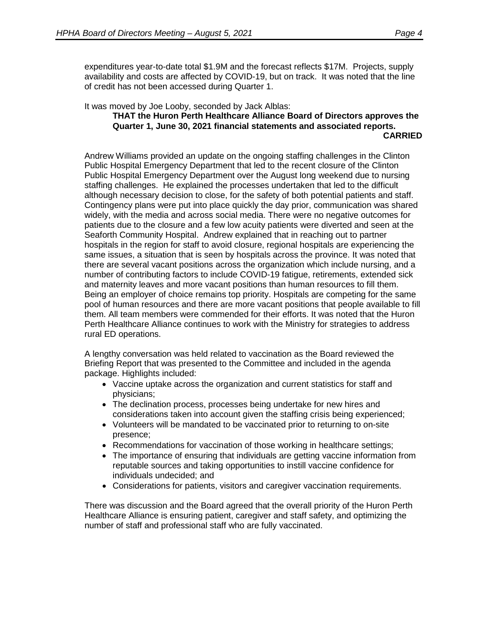expenditures year-to-date total \$1.9M and the forecast reflects \$17M. Projects, supply availability and costs are affected by COVID-19, but on track. It was noted that the line of credit has not been accessed during Quarter 1.

It was moved by Joe Looby, seconded by Jack Alblas:

#### **THAT the Huron Perth Healthcare Alliance Board of Directors approves the Quarter 1, June 30, 2021 financial statements and associated reports. CARRIED**

Andrew Williams provided an update on the ongoing staffing challenges in the Clinton Public Hospital Emergency Department that led to the recent closure of the Clinton Public Hospital Emergency Department over the August long weekend due to nursing staffing challenges. He explained the processes undertaken that led to the difficult although necessary decision to close, for the safety of both potential patients and staff. Contingency plans were put into place quickly the day prior, communication was shared widely, with the media and across social media. There were no negative outcomes for patients due to the closure and a few low acuity patients were diverted and seen at the Seaforth Community Hospital. Andrew explained that in reaching out to partner hospitals in the region for staff to avoid closure, regional hospitals are experiencing the same issues, a situation that is seen by hospitals across the province. It was noted that there are several vacant positions across the organization which include nursing, and a number of contributing factors to include COVID-19 fatigue, retirements, extended sick and maternity leaves and more vacant positions than human resources to fill them. Being an employer of choice remains top priority. Hospitals are competing for the same pool of human resources and there are more vacant positions that people available to fill them. All team members were commended for their efforts. It was noted that the Huron Perth Healthcare Alliance continues to work with the Ministry for strategies to address rural ED operations.

A lengthy conversation was held related to vaccination as the Board reviewed the Briefing Report that was presented to the Committee and included in the agenda package. Highlights included:

- Vaccine uptake across the organization and current statistics for staff and physicians;
- The declination process, processes being undertake for new hires and considerations taken into account given the staffing crisis being experienced;
- Volunteers will be mandated to be vaccinated prior to returning to on-site presence;
- Recommendations for vaccination of those working in healthcare settings;
- The importance of ensuring that individuals are getting vaccine information from reputable sources and taking opportunities to instill vaccine confidence for individuals undecided; and
- Considerations for patients, visitors and caregiver vaccination requirements.

There was discussion and the Board agreed that the overall priority of the Huron Perth Healthcare Alliance is ensuring patient, caregiver and staff safety, and optimizing the number of staff and professional staff who are fully vaccinated.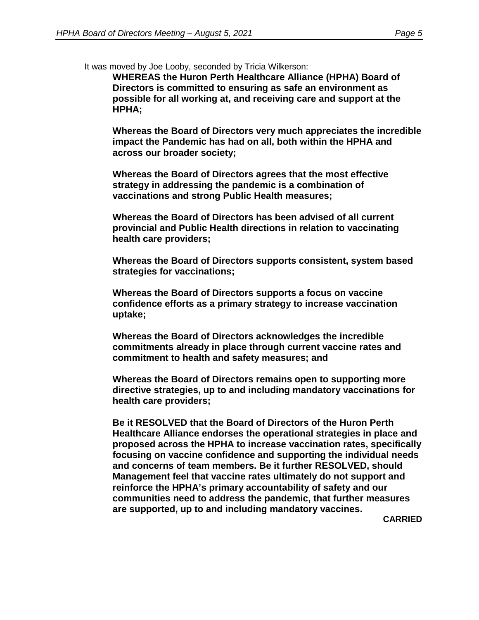It was moved by Joe Looby, seconded by Tricia Wilkerson:

**WHEREAS the Huron Perth Healthcare Alliance (HPHA) Board of Directors is committed to ensuring as safe an environment as possible for all working at, and receiving care and support at the HPHA;**

**Whereas the Board of Directors very much appreciates the incredible impact the Pandemic has had on all, both within the HPHA and across our broader society;**

**Whereas the Board of Directors agrees that the most effective strategy in addressing the pandemic is a combination of vaccinations and strong Public Health measures;**

**Whereas the Board of Directors has been advised of all current provincial and Public Health directions in relation to vaccinating health care providers;**

**Whereas the Board of Directors supports consistent, system based strategies for vaccinations;**

**Whereas the Board of Directors supports a focus on vaccine confidence efforts as a primary strategy to increase vaccination uptake;**

**Whereas the Board of Directors acknowledges the incredible commitments already in place through current vaccine rates and commitment to health and safety measures; and**

**Whereas the Board of Directors remains open to supporting more directive strategies, up to and including mandatory vaccinations for health care providers;**

**Be it RESOLVED that the Board of Directors of the Huron Perth Healthcare Alliance endorses the operational strategies in place and proposed across the HPHA to increase vaccination rates, specifically focusing on vaccine confidence and supporting the individual needs and concerns of team members. Be it further RESOLVED, should Management feel that vaccine rates ultimately do not support and reinforce the HPHA's primary accountability of safety and our communities need to address the pandemic, that further measures are supported, up to and including mandatory vaccines.**

**CARRIED**